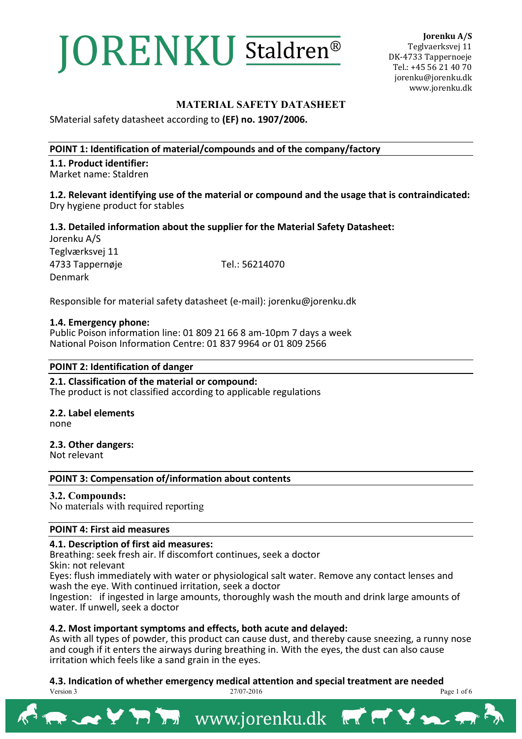# **JORENKU Staldren®**

**Jorenku A/S** Teglvaerksvej 11 DK-4733 Tappernoeje Tel.: +45 56 21 40 70 jorenku@jorenku.dk www.jorenku.dk

# **MATERIAL SAFETY DATASHEET**

SMaterial safety datasheet according to **(EF) no. 1907/2006.** 

### **POINT 1: Identification of material/compounds and of the company/factory**

**1.1. Product identifier:** Market name: Staldren

**1.2. Relevant identifying use of the material or compound and the usage that is contraindicated:** Dry hygiene product for stables

**1.3. Detailed information about the supplier for the Material Safety Datasheet:** Jorenku A/S

Teglværksvej 11 4733 Tappernøje Tel.: 56214070 Denmark

Responsible for material safety datasheet (e-mail): jorenku@jorenku.dk

### **1.4. Emergency phone:**

Public Poison information line: 01 809 21 66 8 am-10pm 7 days a week National Poison Information Centre: 01 837 9964 or 01 809 2566

### **POINT 2: Identification of danger**

**2.1. Classification of the material or compound:**  The product is not classified according to applicable regulations

**2.2. Label elements** none

**2.3. Other dangers:** 

Not relevant

### **POINT 3: Compensation of/information about contents**

### **3.2. Compounds:**

No materials with required reporting

### **POINT 4: First aid measures**

### **4.1. Description of first aid measures:**

Breathing: seek fresh air. If discomfort continues, seek a doctor Skin: not relevant

Eyes: flush immediately with water or physiological salt water. Remove any contact lenses and wash the eye. With continued irritation, seek a doctor

Ingestion: if ingested in large amounts, thoroughly wash the mouth and drink large amounts of water. If unwell, seek a doctor

### **4.2. Most important symptoms and effects, both acute and delayed:**

As with all types of powder, this product can cause dust, and thereby cause sneezing, a runny nose and cough if it enters the airways during breathing in. With the eyes, the dust can also cause irritation which feels like a sand grain in the eyes.

Version 3 27/07-2016 Page 1 of 6 **4.3. Indication of whether emergency medical attention and special treatment are needed**<br><sup>27/07-2016</sup>

RACK Y THE WWW.jorenku.dk

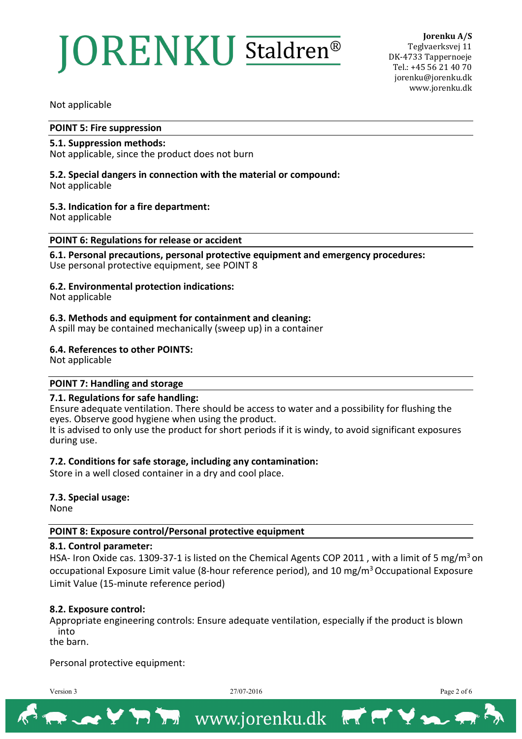# **ORENKU** Staldren<sup>®</sup>

**Jorenku A/S** Teglvaerksvej 11 DK-4733 Tappernoeje Tel.: +45 56 21 40 70 jorenku@jorenku.dk www.jorenku.dk

Not applicable

#### **POINT 5: Fire suppression**

#### **5.1. Suppression methods:**

Not applicable, since the product does not burn

# **5.2. Special dangers in connection with the material or compound:**

Not applicable

### **5.3. Indication for a fire department:**

Not applicable

#### **POINT 6: Regulations for release or accident**

**6.1. Personal precautions, personal protective equipment and emergency procedures:** Use personal protective equipment, see POINT 8

### **6.2. Environmental protection indications:**

Not applicable

### **6.3. Methods and equipment for containment and cleaning:**

A spill may be contained mechanically (sweep up) in a container

### **6.4. References to other POINTS:**

Not applicable

### **POINT 7: Handling and storage**

### **7.1. Regulations for safe handling:**

Ensure adequate ventilation. There should be access to water and a possibility for flushing the eyes. Observe good hygiene when using the product.

It is advised to only use the product for short periods if it is windy, to avoid significant exposures during use.

### **7.2. Conditions for safe storage, including any contamination:**

Store in a well closed container in a dry and cool place.

### **7.3. Special usage:**

None

### **POINT 8: Exposure control/Personal protective equipment**

### **8.1. Control parameter:**

HSA- Iron Oxide cas. 1309-37-1 is listed on the Chemical Agents COP 2011, with a limit of 5 mg/m<sup>3</sup> on occupational Exposure Limit value (8-hour reference period), and 10 mg/m<sup>3</sup> Occupational Exposure Limit Value (15-minute reference period)

### **8.2. Exposure control:**

Appropriate engineering controls: Ensure adequate ventilation, especially if the product is blown into

the barn.

Personal protective equipment:

Version 3 27/07-2016 Page 2 of 6

XYRIX www.jorenku.dk

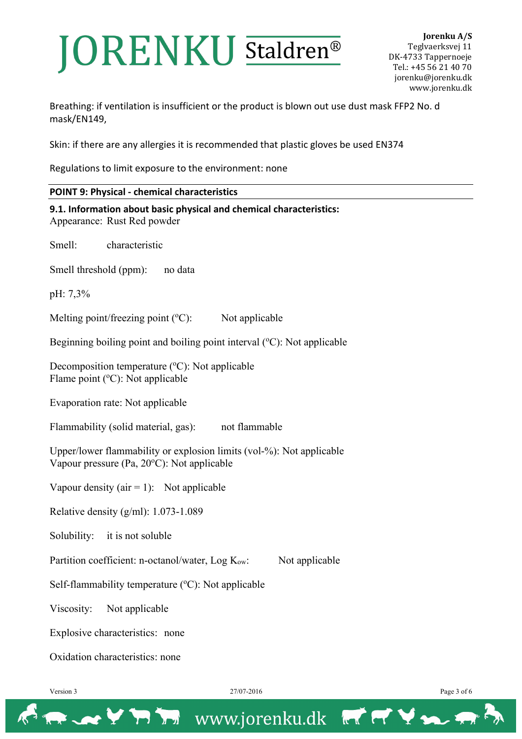# **JORENKU Staldren®**

Breathing: if ventilation is insufficient or the product is blown out use dust mask FFP2 No. d mask/EN149,

Skin: if there are any allergies it is recommended that plastic gloves be used EN374

Regulations to limit exposure to the environment: none

### **POINT 9: Physical - chemical characteristics**

**9.1. Information about basic physical and chemical characteristics:** Appearance: Rust Red powder Smell: characteristic Smell threshold (ppm): no data pH: 7,3% Melting point/freezing point (° Not applicable Beginning boiling point and boiling point interval (°C): Not applicable Decomposition temperature (°C): Not applicable Flame point (°C): Not applicable Evaporation rate: Not applicable Flammability (solid material, gas): not flammable Upper/lower flammability or explosion limits (vol-%): Not applicable Vapour pressure (Pa, 20°C): Not applicable Vapour density ( $air = 1$ ): Not applicable Relative density (g/ml): 1.073-1.089 Solubility: it is not soluble Partition coefficient: n-octanol/water,  $Log K<sub>ow</sub>$ : Not applicable Self-flammability temperature (°C): Not applicable Viscosity: Not applicable

Explosive characteristics: none

Oxidation characteristics: none

→ Y 77 Th www.jorenku.dk FT Y >

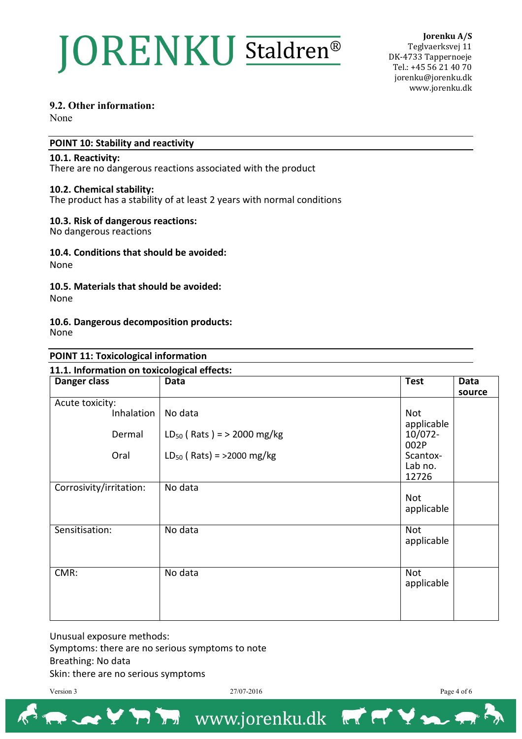# **JORENKU** Staldren<sup>®</sup>

**Jorenku A/S** Teglvaerksvej 11 DK-4733 Tappernoeje Tel.: +45 56 21 40 70 jorenku@jorenku.dk www.jorenku.dk

## **9.2. Other information:**

None

## **POINT 10: Stability and reactivity**

#### **10.1. Reactivity:**

There are no dangerous reactions associated with the product

### **10.2. Chemical stability:**

The product has a stability of at least 2 years with normal conditions

### **10.3. Risk of dangerous reactions:**

No dangerous reactions

### **10.4. Conditions that should be avoided:**

None

### **10.5. Materials that should be avoided:**

None

#### **10.6. Dangerous decomposition products:**  None

#### **POINT 11: Toxicological information**

#### **11.1. Information on toxicological effects:**

| Danger class            | Data                            | <b>Test</b>                   | Data<br>source |
|-------------------------|---------------------------------|-------------------------------|----------------|
| Acute toxicity:         |                                 |                               |                |
| Inhalation              | No data                         | <b>Not</b>                    |                |
| Dermal                  | $LD_{50}$ (Rats) = > 2000 mg/kg | applicable<br>10/072-<br>002P |                |
| Oral                    | $LD_{50}$ (Rats) = >2000 mg/kg  | Scantox-<br>Lab no.<br>12726  |                |
| Corrosivity/irritation: | No data                         |                               |                |
|                         |                                 | Not<br>applicable             |                |
| Sensitisation:          | No data                         | Not<br>applicable             |                |
| CMR:                    | No data                         | Not<br>applicable             |                |

Unusual exposure methods: Symptoms: there are no serious symptoms to note Breathing: No data Skin: there are no serious symptoms

Version 3 27/07-2016 Page 4 of 6

X X Y Y Y Y WWW.jorenku.dk

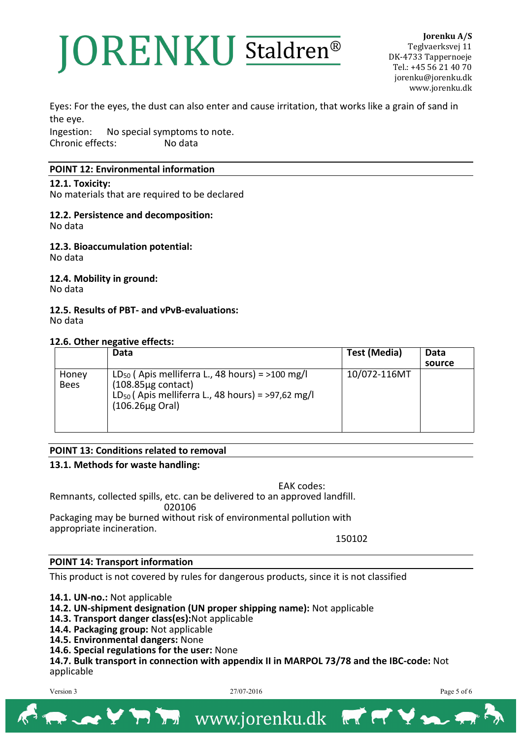# ORENKU Staldren®

**Jorenku A/S** Teglvaerksvej 11 DK-4733 Tappernoeje Tel.: +45 56 21 40 70 jorenku@jorenku.dk www.jorenku.dk

Eyes: For the eyes, the dust can also enter and cause irritation, that works like a grain of sand in the eye.

Ingestion: No special symptoms to note.<br>Chronic effects: No data Chronic effects:

### **POINT 12: Environmental information**

**12.1. Toxicity:**

No materials that are required to be declared

#### **12.2. Persistence and decomposition:** No data

**12.3. Bioaccumulation potential:** No data

**12.4. Mobility in ground:** No data

**12.5. Results of PBT- and vPvB-evaluations:** No data

# **12.6. Other negative effects:**

|                      | Data                                                                                                                                                                 | Test (Media) | Data   |
|----------------------|----------------------------------------------------------------------------------------------------------------------------------------------------------------------|--------------|--------|
|                      |                                                                                                                                                                      |              | source |
| Honey<br><b>Bees</b> | $LD_{50}$ (Apis melliferra L., 48 hours) = >100 mg/l<br>$(108.85\mu g \text{ contact})$<br>$LD_{50}$ (Apis melliferra L., 48 hours) = >97,62 mg/l<br>(106.26µg Oral) | 10/072-116MT |        |

# **POINT 13: Conditions related to removal**

# **13.1. Methods for waste handling:**

EAK codes: Remnants, collected spills, etc. can be delivered to an approved landfill. 020106 Packaging may be burned without risk of environmental pollution with appropriate incineration.

150102

### **POINT 14: Transport information**

This product is not covered by rules for dangerous products, since it is not classified

**14.1. UN-no.:** Not applicable

- **14.2. UN-shipment designation (UN proper shipping name):** Not applicable
- **14.3. Transport danger class(es):**Not applicable
- **14.4. Packaging group:** Not applicable
- **14.5. Environmental dangers:** None
- **14.6. Special regulations for the user:** None

**14.7. Bulk transport in connection with appendix II in MARPOL 73/78 and the IBC-code:** Not applicable